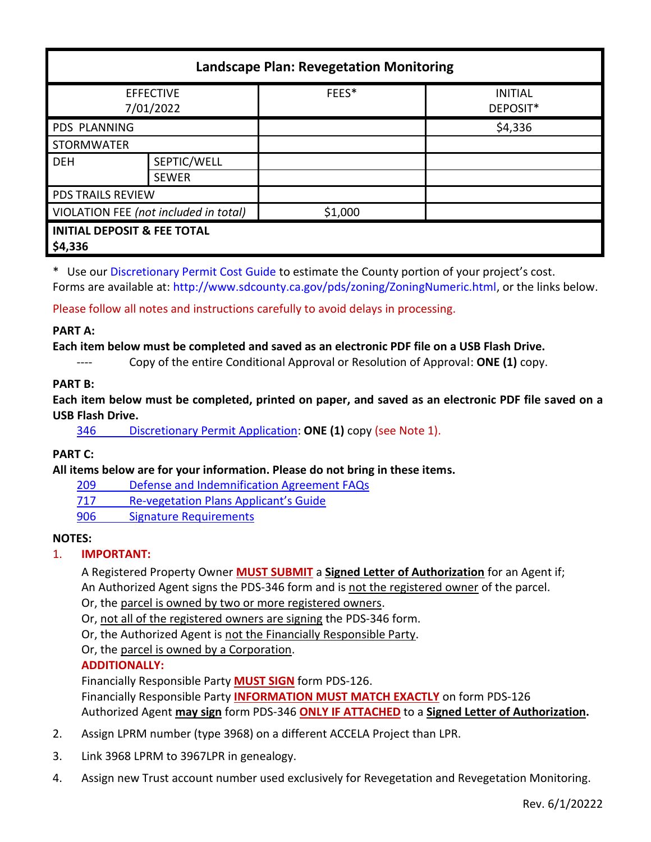| <b>Landscape Plan: Revegetation Monitoring</b>    |                             |         |                            |
|---------------------------------------------------|-----------------------------|---------|----------------------------|
| <b>EFFECTIVE</b><br>7/01/2022                     |                             | FEES*   | <b>INITIAL</b><br>DEPOSIT* |
| <b>PDS PLANNING</b>                               |                             |         | \$4,336                    |
| <b>STORMWATER</b>                                 |                             |         |                            |
| <b>DEH</b>                                        | SEPTIC/WELL<br><b>SEWER</b> |         |                            |
| <b>PDS TRAILS REVIEW</b>                          |                             |         |                            |
| VIOLATION FEE (not included in total)             |                             | \$1,000 |                            |
| <b>INITIAL DEPOSIT &amp; FEE TOTAL</b><br>\$4,336 |                             |         |                            |

\* Use ou[r Discretionary Permit Cost Guide](http://www.sandiegocounty.gov/content/dam/sdc/pds/docs/Discretionary_Permit_Cost_Guide.xlsx) to estimate the County portion of your project's cost. Forms are available at[: http://www.sdcounty.ca.gov/pds/zoning/ZoningNumeric.html,](http://www.sdcounty.ca.gov/pds/zoning/ZoningNumeric.html) or the links below.

Please follow all notes and instructions carefully to avoid delays in processing.

### **PART A:**

### **Each item below must be completed and saved as an electronic PDF file on a USB Flash Drive.**

---- Copy of the entire Conditional Approval or Resolution of Approval: **ONE (1)** copy.

## **PART B:**

**Each item below must be completed, printed on paper, and saved as an electronic PDF file saved on a USB Flash Drive.**

346 [Discretionary Permit](http://www.sdcounty.ca.gov/pds/zoning/formfields/PDS-PLN-346.pdf) Application: **ONE (1)** copy (see Note 1).

**PART C:**

**All items below are for your information. Please do not bring in these items.**

- 209 [Defense and Indemnification Agreement FAQs](http://www.sdcounty.ca.gov/pds/zoning/formfields/PDS-PLN-209.pdf)
- 717 Re-[vegetation Plans Applicant's Guide](http://www.sdcounty.ca.gov/pds/zoning/formfields/PDS-PLN-717.pdf)
- [906 Signature Requirements](http://www.sdcounty.ca.gov/pds/zoning/formfields/PDS-PLN-906.pdf)

### **NOTES:**

# 1. **IMPORTANT:**

A Registered Property Owner **MUST SUBMIT** a **Signed Letter of Authorization** for an Agent if; An Authorized Agent signs the PDS-346 form and is not the registered owner of the parcel.

Or, the parcel is owned by two or more registered owners.

Or, not all of the registered owners are signing the PDS-346 form.

Or, the Authorized Agent is not the Financially Responsible Party.

Or, the parcel is owned by a Corporation.

# **ADDITIONALLY:**

Financially Responsible Party **MUST SIGN** form PDS-126.

Financially Responsible Party **INFORMATION MUST MATCH EXACTLY** on form PDS-126 Authorized Agent **may sign** form PDS-346 **ONLY IF ATTACHED** to a **Signed Letter of Authorization.**

- 2. Assign LPRM number (type 3968) on a different ACCELA Project than LPR.
- 3. Link 3968 LPRM to 3967LPR in genealogy.
- 4. Assign new Trust account number used exclusively for Revegetation and Revegetation Monitoring.